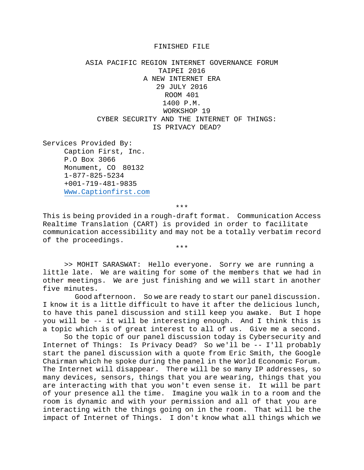## FINISHED FILE

ASIA PACIFIC REGION INTERNET GOVERNANCE FORUM TAIPEI 2016 A NEW INTERNET ERA 29 JULY 2016 ROOM 401 1400 P.M. WORKSHOP 19 CYBER SECURITY AND THE INTERNET OF THINGS: IS PRIVACY DEAD?

Services Provided By: Caption First, Inc. P.O Box 3066 Monument, CO 80132 1-877-825-5234 +001-719-481-9835 [Www.Captionfirst.com](http://www.captionfirst.com/)

\*\*\*

This is being provided in a rough-draft format. Communication Access Realtime Translation (CART) is provided in order to facilitate communication accessibility and may not be a totally verbatim record of the proceedings.

\*\*\*

>> MOHIT SARASWAT: Hello everyone. Sorry we are running a little late. We are waiting for some of the members that we had in other meetings. We are just finishing and we will start in another five minutes.

 Good afternoon. So we are ready to start our panel discussion. I know it is a little difficult to have it after the delicious lunch, to have this panel discussion and still keep you awake. But I hope you will be -- it will be interesting enough. And I think this is a topic which is of great interest to all of us. Give me a second.

So the topic of our panel discussion today is Cybersecurity and Internet of Things: Is Privacy Dead? So we'll be -- I'll probably start the panel discussion with a quote from Eric Smith, the Google Chairman which he spoke during the panel in the World Economic Forum. The Internet will disappear. There will be so many IP addresses, so many devices, sensors, things that you are wearing, things that you are interacting with that you won't even sense it. It will be part of your presence all the time. Imagine you walk in to a room and the room is dynamic and with your permission and all of that you are interacting with the things going on in the room. That will be the impact of Internet of Things. I don't know what all things which we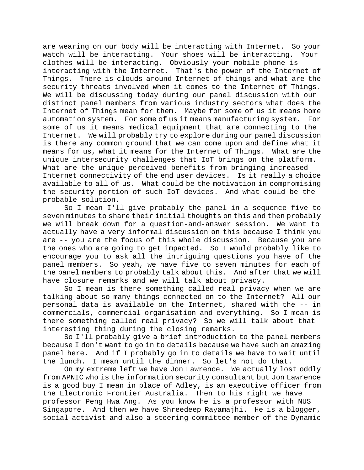are wearing on our body will be interacting with Internet. So your watch will be interacting. Your shoes will be interacting. Your clothes will be interacting. Obviously your mobile phone is interacting with the Internet. That's the power of the Internet of Things. There is clouds around Internet of things and what are the security threats involved when it comes to the Internet of Things. We will be discussing today during our panel discussion with our distinct panel members from various industry sectors what does the Internet of Things mean for them. Maybe for some of us it means home automation system. For some of us it means manufacturing system. For some of us it means medical equipment that are connecting to the Internet. We will probably try to explore during our panel discussion is there any common ground that we can come upon and define what it means for us, what it means for the Internet of Things. What are the unique intersecurity challenges that IoT brings on the platform. What are the unique perceived benefits from bringing increased Internet connectivity of the end user devices. Is it really a choice available to all of us. What could be the motivation in compromising the security portion of such IoT devices. And what could be the probable solution.

So I mean I'll give probably the panel in a sequence five to seven minutes to share their initial thoughts on this and then probably we will break down for a question-and-answer session. We want to actually have a very informal discussion on this because I think you are -- you are the focus of this whole discussion. Because you are the ones who are going to get impacted. So I would probably like to encourage you to ask all the intriguing questions you have of the panel members. So yeah, we have five to seven minutes for each of the panel members to probably talk about this. And after that we will have closure remarks and we will talk about privacy.

So I mean is there something called real privacy when we are talking about so many things connected on to the Internet? All our personal data is available on the Internet, shared with the -- in commercials, commercial organisation and everything. So I mean is there something called real privacy? So we will talk about that interesting thing during the closing remarks.

So I'll probably give a brief introduction to the panel members because I don't want to go in to details because we have such an amazing panel here. And if I probably go in to details we have to wait until the lunch. I mean until the dinner. So let's not do that.

On my extreme left we have Jon Lawrence. We actually lost oddly from APNIC who is the information security consultant but Jon Lawrence is a good buy I mean in place of Adley, is an executive officer from the Electronic Frontier Australia. Then to his right we have professor Peng Hwa Ang. As you know he is a professor with NUS Singapore. And then we have Shreedeep Rayamajhi. He is a blogger, social activist and also a steering committee member of the Dynamic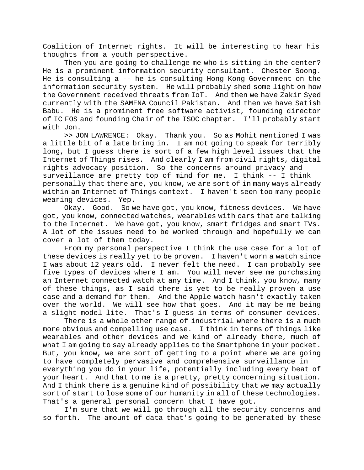Coalition of Internet rights. It will be interesting to hear his thoughts from a youth perspective.

Then you are going to challenge me who is sitting in the center? He is a prominent information security consultant. Chester Soong. He is consulting a -- he is consulting Hong Kong Government on the information security system. He will probably shed some light on how the Government received threats from IoT. And then we have Zakir Syed currently with the SAMENA Council Pakistan. And then we have Satish Babu. He is a prominent free software activist, founding director of IC FOS and founding Chair of the ISOC chapter. I'll probably start with Jon.

>> JON LAWRENCE: Okay. Thank you. So as Mohit mentioned I was a little bit of a late bring in. I am not going to speak for terribly long, but I guess there is sort of a few high level issues that the Internet of Things rises. And clearly I am from civil rights, digital rights advocacy position. So the concerns around privacy and surveillance are pretty top of mind for me. I think -- I think personally that there are, you know, we are sort of in many ways already within an Internet of Things context. I haven't seen too many people wearing devices. Yep.

Okay. Good. So we have got, you know, fitness devices. We have got, you know, connected watches, wearables with cars that are talking to the Internet. We have got, you know, smart fridges and smart TVs. A lot of the issues need to be worked through and hopefully we can cover a lot of them today.

From my personal perspective I think the use case for a lot of these devices is really yet to be proven. I haven't worn a watch since I was about 12 years old. I never felt the need. I can probably see five types of devices where I am. You will never see me purchasing an Internet connected watch at any time. And I think, you know, many of these things, as I said there is yet to be really proven a use case and a demand for them. And the Apple watch hasn't exactly taken over the world. We will see how that goes. And it may be me being a slight model lite. That's I guess in terms of consumer devices.

There is a whole other range of industrial where there is a much more obvious and compelling use case. I think in terms of things like wearables and other devices and we kind of already there, much of what I am going to say already applies to the Smartphone in your pocket. But, you know, we are sort of getting to a point where we are going to have completely pervasive and comprehensive surveillance in everything you do in your life, potentially including every beat of your heart. And that to me is a pretty, pretty concerning situation. And I think there is a genuine kind of possibility that we may actually sort of start to lose some of our humanity in all of these technologies. That's a general personal concern that I have got.

I'm sure that we will go through all the security concerns and so forth. The amount of data that's going to be generated by these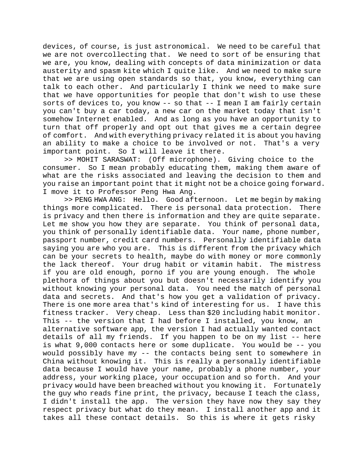devices, of course, is just astronomical. We need to be careful that we are not overcollecting that. We need to sort of be ensuring that we are, you know, dealing with concepts of data minimization or data austerity and spasm kite which I quite like. And we need to make sure that we are using open standards so that, you know, everything can talk to each other. And particularly I think we need to make sure that we have opportunities for people that don't wish to use these sorts of devices to, you know -- so that -- I mean I am fairly certain you can't buy a car today, a new car on the market today that isn't somehow Internet enabled. And as long as you have an opportunity to turn that off properly and opt out that gives me a certain degree of comfort. And with everything privacy related it is about you having an ability to make a choice to be involved or not. That's a very important point. So I will leave it there.

>> MOHIT SARASWAT: (Off microphone). Giving choice to the consumer. So I mean probably educating them, making them aware of what are the risks associated and leaving the decision to them and you raise an important point that it might not be a choice going forward. I move it to Professor Peng Hwa Ang.

>> PENG HWA ANG: Hello. Good afternoon. Let me begin by making things more complicated. There is personal data protection. There is privacy and then there is information and they are quite separate. Let me show you how they are separate. You think of personal data, you think of personally identifiable data. Your name, phone number, passport number, credit card numbers. Personally identifiable data saying you are who you are. This is different from the privacy which can be your secrets to health, maybe do with money or more commonly the lack thereof. Your drug habit or vitamin habit. The mistress if you are old enough, porno if you are young enough. The whole plethora of things about you but doesn't necessarily identify you without knowing your personal data. You need the match of personal data and secrets. And that's how you get a validation of privacy. There is one more area that's kind of interesting for us. I have this fitness tracker. Very cheap. Less than \$20 including habit monitor. This -- the version that I had before I installed, you know, an alternative software app, the version I had actually wanted contact details of all my friends. If you happen to be on my list -- here is what 9,000 contacts here or some duplicate. You would be -- you would possibly have my -- the contacts being sent to somewhere in China without knowing it. This is really a personally identifiable data because I would have your name, probably a phone number, your address, your working place, your occupation and so forth. And your privacy would have been breached without you knowing it. Fortunately the guy who reads fine print, the privacy, because I teach the class, I didn't install the app. The version they have now they say they respect privacy but what do they mean. I install another app and it takes all these contact details. So this is where it gets risky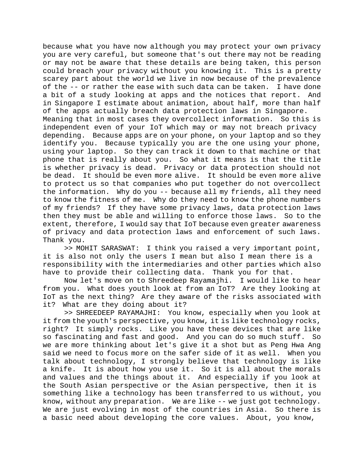because what you have now although you may protect your own privacy you are very careful, but someone that's out there may not be reading or may not be aware that these details are being taken, this person could breach your privacy without you knowing it. This is a pretty scarey part about the world we live in now because of the prevalence of the -- or rather the ease with such data can be taken. I have done a bit of a study looking at apps and the notices that report. And in Singapore I estimate about animation, about half, more than half of the apps actually breach data protection laws in Singapore. Meaning that in most cases they overcollect information. So this is independent even of your IoT which may or may not breach privacy depending. Because apps are on your phone, on your laptop and so they identify you. Because typically you are the one using your phone, using your laptop. So they can track it down to that machine or that phone that is really about you. So what it means is that the title is whether privacy is dead. Privacy or data protection should not be dead. It should be even more alive. It should be even more alive to protect us so that companies who put together do not overcollect the information. Why do you -- because all my friends, all they need to know the fitness of me. Why do they need to know the phone numbers of my friends? If they have some privacy laws, data protection laws then they must be able and willing to enforce those laws. So to the extent, therefore, I would say that IoT because even greater awareness of privacy and data protection laws and enforcement of such laws. Thank you.

>> MOHIT SARASWAT: I think you raised a very important point, it is also not only the users I mean but also I mean there is a responsibility with the intermediaries and other parties which also have to provide their collecting data. Thank you for that.

Now let's move on to Shreedeep Rayamajhi. I would like to hear from you. What does youth look at from an IoT? Are they looking at IoT as the next thing? Are they aware of the risks associated with it? What are they doing about it?

>> SHREEDEEP RAYAMAJHI: You know, especially when you look at it from the youth's perspective, you know, it is like technology rocks, right? It simply rocks. Like you have these devices that are like so fascinating and fast and good. And you can do so much stuff. So we are more thinking about let's give it a shot but as Peng Hwa Ang said we need to focus more on the safer side of it as well. When you talk about technology, I strongly believe that technology is like a knife. It is about how you use it. So it is all about the morals and values and the things about it. And especially if you look at the South Asian perspective or the Asian perspective, then it is something like a technology has been transferred to us without, you know, without any preparation. We are like -- we just got technology. We are just evolving in most of the countries in Asia. So there is a basic need about developing the core values. About, you know,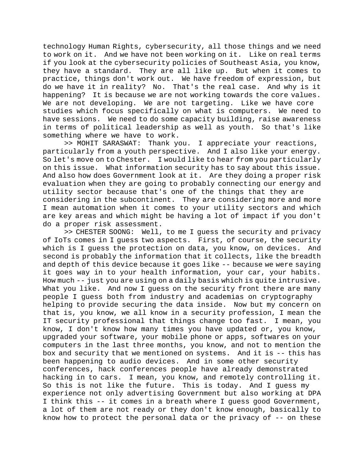technology Human Rights, cybersecurity, all those things and we need to work on it. And we have not been working on it. Like on real terms if you look at the cybersecurity policies of Southeast Asia, you know, they have a standard. They are all like up. But when it comes to practice, things don't work out. We have freedom of expression, but do we have it in reality? No. That's the real case. And why is it happening? It is because we are not working towards the core values. We are not developing. We are not targeting. Like we have core studies which focus specifically on what is computers. We need to have sessions. We need to do some capacity building, raise awareness in terms of political leadership as well as youth. So that's like something where we have to work.

>> MOHIT SARASWAT: Thank you. I appreciate your reactions, particularly from a youth perspective. And I also like your energy. So let's move on to Chester. I would like to hear from you particularly on this issue. What information security has to say about this issue. And also how does Government look at it. Are they doing a proper risk evaluation when they are going to probably connecting our energy and utility sector because that's one of the things that they are considering in the subcontinent. They are considering more and more I mean automation when it comes to your utility sectors and which are key areas and which might be having a lot of impact if you don't do a proper risk assessment.

>> CHESTER SOONG: Well, to me I guess the security and privacy of IoTs comes in I guess two aspects. First, of course, the security which is I guess the protection on data, you know, on devices. And second is probably the information that it collects, like the breadth and depth of this device because it goes like -- because we were saying it goes way in to your health information, your car, your habits. How much -- just you are using on a daily basis which is quite intrusive. What you like. And now I quess on the security front there are many people I guess both from industry and academias on cryptography helping to provide securing the data inside. Now but my concern on that is, you know, we all know in a security profession, I mean the IT security professional that things change too fast. I mean, you know, I don't know how many times you have updated or, you know, upgraded your software, your mobile phone or apps, softwares on your computers in the last three months, you know, and not to mention the box and security that we mentioned on systems. And it is -- this has been happening to audio devices. And in some other security conferences, hack conferences people have already demonstrated hacking in to cars. I mean, you know, and remotely controlling it. So this is not like the future. This is today. And I guess my experience not only advertising Government but also working at DPA I think this -- it comes in a breath where I guess good Government, a lot of them are not ready or they don't know enough, basically to know how to protect the personal data or the privacy of -- on these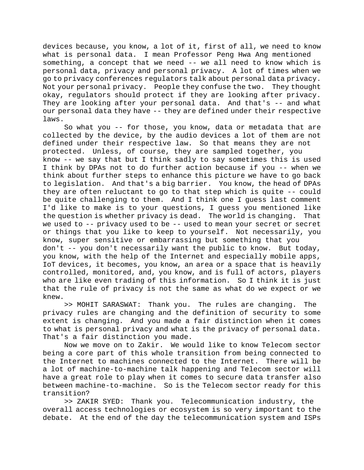devices because, you know, a lot of it, first of all, we need to know what is personal data. I mean Professor Peng Hwa Ang mentioned something, a concept that we need -- we all need to know which is personal data, privacy and personal privacy. A lot of times when we go to privacy conferences regulators talk about personal data privacy. Not your personal privacy. People they confuse the two. They thought okay, regulators should protect if they are looking after privacy. They are looking after your personal data. And that's -- and what our personal data they have -- they are defined under their respective laws.

So what you -- for those, you know, data or metadata that are collected by the device, by the audio devices a lot of them are not defined under their respective law. So that means they are not protected. Unless, of course, they are sampled together, you know -- we say that but I think sadly to say sometimes this is used I think by DPAs not to do further action because if you -- when we think about further steps to enhance this picture we have to go back to legislation. And that's a big barrier. You know, the head of DPAs they are often reluctant to go to that step which is quite -- could be quite challenging to them. And I think one I guess last comment I'd like to make is to your questions, I guess you mentioned like the question is whether privacy is dead. The world is changing. That we used to -- privacy used to be -- used to mean your secret or secret or things that you like to keep to yourself. Not necessarily, you know, super sensitive or embarrassing but something that you don't -- you don't necessarily want the public to know. But today, you know, with the help of the Internet and especially mobile apps, IoT devices, it becomes, you know, an area or a space that is heavily controlled, monitored, and, you know, and is full of actors, players who are like even trading of this information. So I think it is just that the rule of privacy is not the same as what do we expect or we knew.

>> MOHIT SARASWAT: Thank you. The rules are changing. The privacy rules are changing and the definition of security to some extent is changing. And you made a fair distinction when it comes to what is personal privacy and what is the privacy of personal data. That's a fair distinction you made.

Now we move on to Zakir. We would like to know Telecom sector being a core part of this whole transition from being connected to the Internet to machines connected to the Internet. There will be a lot of machine-to-machine talk happening and Telecom sector will have a great role to play when it comes to secure data transfer also between machine-to-machine. So is the Telecom sector ready for this transition?

>> ZAKIR SYED: Thank you. Telecommunication industry, the overall access technologies or ecosystem is so very important to the debate. At the end of the day the telecommunication system and ISPs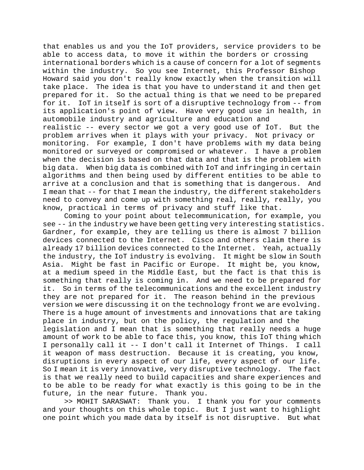that enables us and you the IoT providers, service providers to be able to access data, to move it within the borders or crossing international borders which is a cause of concern for a lot of segments within the industry. So you see Internet, this Professor Bishop Howard said you don't really know exactly when the transition will take place. The idea is that you have to understand it and then get prepared for it. So the actual thing is that we need to be prepared for it. IoT in itself is sort of a disruptive technology from -- from its application's point of view. Have very good use in health, in automobile industry and agriculture and education and realistic -- every sector we got a very good use of IoT. But the problem arrives when it plays with your privacy. Not privacy or monitoring. For example, I don't have problems with my data being monitored or surveyed or compromised or whatever. I have a problem when the decision is based on that data and that is the problem with big data. When big data is combined with IoT and infringing in certain algorithms and then being used by different entities to be able to arrive at a conclusion and that is something that is dangerous. And I mean that -- for that I mean the industry, the different stakeholders need to convey and come up with something real, really, really, you know, practical in terms of privacy and stuff like that.

Coming to your point about telecommunication, for example, you see -- in the industry we have been getting very interesting statistics. Gardner, for example, they are telling us there is almost 7 billion devices connected to the Internet. Cisco and others claim there is already 17 billion devices connected to the Internet. Yeah, actually the industry, the IoT industry is evolving. It might be slow in South Asia. Might be fast in Pacific or Europe. It might be, you know, at a medium speed in the Middle East, but the fact is that this is something that really is coming in. And we need to be prepared for it. So in terms of the telecommunications and the excellent industry they are not prepared for it. The reason behind in the previous version we were discussing it on the technology front we are evolving. There is a huge amount of investments and innovations that are taking place in industry, but on the policy, the regulation and the legislation and I mean that is something that really needs a huge amount of work to be able to face this, you know, this IoT thing which I personally call it -- I don't call it Internet of Things. I call it weapon of mass destruction. Because it is creating, you know, disruptions in every aspect of our life, every aspect of our life. So I mean it is very innovative, very disruptive technology. The fact is that we really need to build capacities and share experiences and to be able to be ready for what exactly is this going to be in the future, in the near future. Thank you.

>> MOHIT SARASWAT: Thank you. I thank you for your comments and your thoughts on this whole topic. But I just want to highlight one point which you made data by itself is not disruptive. But what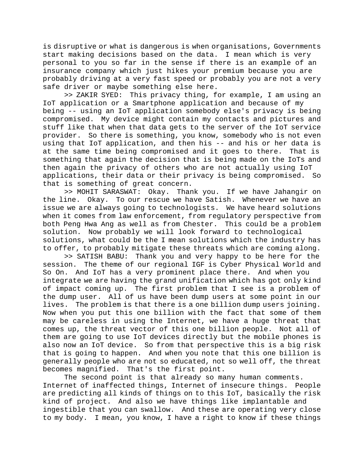is disruptive or what is dangerous is when organisations, Governments start making decisions based on the data. I mean which is very personal to you so far in the sense if there is an example of an insurance company which just hikes your premium because you are probably driving at a very fast speed or probably you are not a very safe driver or maybe something else here.

>> ZAKIR SYED: This privacy thing, for example, I am using an IoT application or a Smartphone application and because of my being -- using an IoT application somebody else's privacy is being compromised. My device might contain my contacts and pictures and stuff like that when that data gets to the server of the IoT service provider. So there is something, you know, somebody who is not even using that IoT application, and then his -- and his or her data is at the same time being compromised and it goes to there. That is something that again the decision that is being made on the IoTs and then again the privacy of others who are not actually using IoT applications, their data or their privacy is being compromised. So that is something of great concern.

>> MOHIT SARASWAT: Okay. Thank you. If we have Jahangir on the line. Okay. To our rescue we have Satish. Whenever we have an issue we are always going to technologists. We have heard solutions when it comes from law enforcement, from regulatory perspective from both Peng Hwa Ang as well as from Chester. This could be a problem solution. Now probably we will look forward to technological solutions, what could be the I mean solutions which the industry has to offer, to probably mitigate these threats which are coming along.

>> SATISH BABU: Thank you and very happy to be here for the session. The theme of our regional IGF is Cyber Physical World and So On. And IoT has a very prominent place there. And when you integrate we are having the grand unification which has got only kind of impact coming up. The first problem that I see is a problem of the dump user. All of us have been dump users at some point in our lives. The problem is that there is a one billion dump users joining. Now when you put this one billion with the fact that some of them may be careless in using the Internet, we have a huge threat that comes up, the threat vector of this one billion people. Not all of them are going to use IoT devices directly but the mobile phones is also now an IoT device. So from that perspective this is a big risk that is going to happen. And when you note that this one billion is generally people who are not so educated, not so well off, the threat becomes magnified. That's the first point.

The second point is that already so many human comments. Internet of inaffected things, Internet of insecure things. People are predicting all kinds of things on to this IoT, basically the risk kind of project. And also we have things like implantable and ingestible that you can swallow. And these are operating very close to my body. I mean, you know, I have a right to know if these things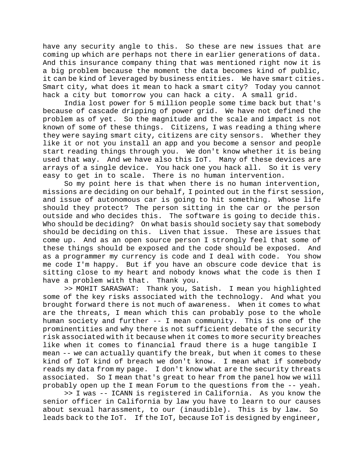have any security angle to this. So these are new issues that are coming up which are perhaps not there in earlier generations of data. And this insurance company thing that was mentioned right now it is a big problem because the moment the data becomes kind of public, it can be kind of leveraged by business entities. We have smart cities. Smart city, what does it mean to hack a smart city? Today you cannot hack a city but tomorrow you can hack a city. A small grid.

India lost power for 5 million people some time back but that's because of cascade dripping of power grid. We have not defined the problem as of yet. So the magnitude and the scale and impact is not known of some of these things. Citizens, I was reading a thing where they were saying smart city, citizens are city sensors. Whether they like it or not you install an app and you become a sensor and people start reading things through you. We don't know whether it is being used that way. And we have also this IoT. Many of these devices are arrays of a single device. You hack one you hack all. So it is very easy to get in to scale. There is no human intervention.

So my point here is that when there is no human intervention, missions are deciding on our behalf, I pointed out in the first session, and issue of autonomous car is going to hit something. Whose life should they protect? The person sitting in the car or the person outside and who decides this. The software is going to decide this. Who should be deciding? On what basis should society say that somebody should be deciding on this. Liven that issue. These are issues that come up. And as an open source person I strongly feel that some of these things should be exposed and the code should be exposed. And as a programmer my currency is code and I deal with code. You show me code I'm happy. But if you have an obscure code device that is sitting close to my heart and nobody knows what the code is then I have a problem with that. Thank you.

>> MOHIT SARASWAT: Thank you, Satish. I mean you highlighted some of the key risks associated with the technology. And what you brought forward there is not much of awareness. When it comes to what are the threats, I mean which this can probably pose to the whole human society and further -- I mean community. This is one of the prominentities and why there is not sufficient debate of the security risk associated with it because when it comes to more security breaches like when it comes to financial fraud there is a huge tangible I mean -- we can actually quantify the break, but when it comes to these kind of IoT kind of breach we don't know. I mean what if somebody reads my data from my page. I don't know what are the security threats associated. So I mean that's great to hear from the panel how we will probably open up the I mean Forum to the questions from the -- yeah.

>> I was -- ICANN is registered in California. As you know the senior officer in California by law you have to learn to our causes about sexual harassment, to our (inaudible). This is by law. So leads back to the IoT. If the IoT, because IoT is designed by engineer,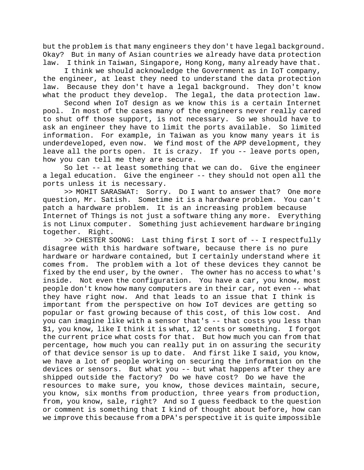but the problem is that many engineers they don't have legal background. Okay? But in many of Asian countries we already have data protection law. I think in Taiwan, Singapore, Hong Kong, many already have that.

I think we should acknowledge the Government as in IoT company, the engineer, at least they need to understand the data protection law. Because they don't have a legal background. They don't know what the product they develop. The legal, the data protection law.

Second when IoT design as we know this is a certain Internet pool. In most of the cases many of the engineers never really cared to shut off those support, is not necessary. So we should have to ask an engineer they have to limit the ports available. So limited information. For example, in Taiwan as you know many years it is underdeveloped, even now. We find most of the APP development, they leave all the ports open. It is crazy. If you -- leave ports open, how you can tell me they are secure.

So let -- at least something that we can do. Give the engineer a legal education. Give the engineer -- they should not open all the ports unless it is necessary.

>> MOHIT SARASWAT: Sorry. Do I want to answer that? One more question, Mr. Satish. Sometime it is a hardware problem. You can't patch a hardware problem. It is an increasing problem because Internet of Things is not just a software thing any more. Everything is not Linux computer. Something just achievement hardware bringing together. Right.

>> CHESTER SOONG: Last thing first I sort of -- I respectfully disagree with this hardware software, because there is no pure hardware or hardware contained, but I certainly understand where it comes from. The problem with a lot of these devices they cannot be fixed by the end user, by the owner. The owner has no access to what's inside. Not even the configuration. You have a car, you know, most people don't know how many computers are in their car, not even -- what they have right now. And that leads to an issue that I think is important from the perspective on how IoT devices are getting so popular or fast growing because of this cost, of this low cost. And you can imagine like with a sensor that's -- that costs you less than \$1, you know, like I think it is what, 12 cents or something. I forgot the current price what costs for that. But how much you can from that percentage, how much you can really put in on assuring the security of that device sensor is up to date. And first like I said, you know, we have a lot of people working on securing the information on the devices or sensors. But what you -- but what happens after they are shipped outside the factory? Do we have cost? Do we have the resources to make sure, you know, those devices maintain, secure, you know, six months from production, three years from production, from, you know, sale, right? And so I guess feedback to the question or comment is something that I kind of thought about before, how can we improve this because from a DPA's perspective it is quite impossible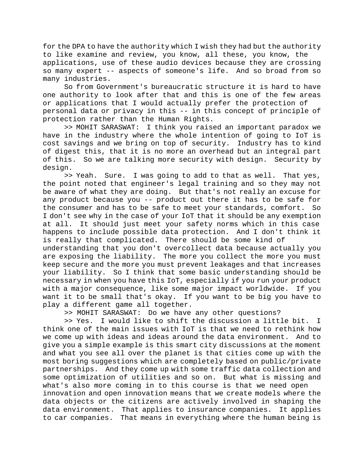for the DPA to have the authority which I wish they had but the authority to like examine and review, you know, all these, you know, the applications, use of these audio devices because they are crossing so many expert -- aspects of someone's life. And so broad from so many industries.

So from Government's bureaucratic structure it is hard to have one authority to look after that and this is one of the few areas or applications that I would actually prefer the protection of personal data or privacy in this -- in this concept of principle of protection rather than the Human Rights.

>> MOHIT SARASWAT: I think you raised an important paradox we have in the industry where the whole intention of going to IoT is cost savings and we bring on top of security. Industry has to kind of digest this, that it is no more an overhead but an integral part of this. So we are talking more security with design. Security by design.

>> Yeah. Sure. I was going to add to that as well. That yes, the point noted that engineer's legal training and so they may not be aware of what they are doing. But that's not really an excuse for any product because you -- product out there it has to be safe for the consumer and has to be safe to meet your standards, comfort. So I don't see why in the case of your IoT that it should be any exemption at all. It should just meet your safety norms which in this case happens to include possible data protection. And I don't think it is really that complicated. There should be some kind of understanding that you don't overcollect data because actually you are exposing the liability. The more you collect the more you must keep secure and the more you must prevent leakages and that increases

your liability. So I think that some basic understanding should be necessary in when you have this IoT, especially if you run your product with a major consequence, like some major impact worldwide. If you want it to be small that's okay. If you want to be big you have to play a different game all together.

>> MOHIT SARASWAT: Do we have any other questions?

>> Yes. I would like to shift the discussion a little bit. I think one of the main issues with IoT is that we need to rethink how we come up with ideas and ideas around the data environment. And to give you a simple example is this smart city discussions at the moment and what you see all over the planet is that cities come up with the most boring suggestions which are completely based on public/private partnerships. And they come up with some traffic data collection and some optimization of utilities and so on. But what is missing and what's also more coming in to this course is that we need open innovation and open innovation means that we create models where the data objects or the citizens are actively involved in shaping the data environment. That applies to insurance companies. It applies to car companies. That means in everything where the human being is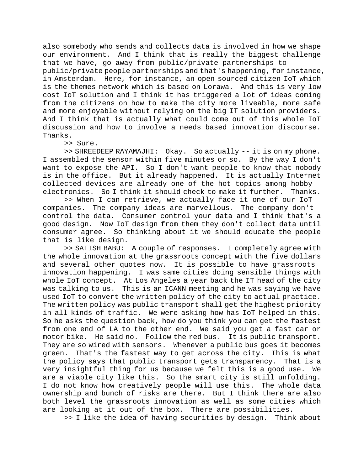also somebody who sends and collects data is involved in how we shape our environment. And I think that is really the biggest challenge that we have, go away from public/private partnerships to

public/private people partnerships and that's happening, for instance, in Amsterdam. Here, for instance, an open sourced citizen IoT which is the themes network which is based on Lorawa. And this is very low cost IoT solution and I think it has triggered a lot of ideas coming from the citizens on how to make the city more liveable, more safe and more enjoyable without relying on the big IT solution providers. And I think that is actually what could come out of this whole IoT discussion and how to involve a needs based innovation discourse. Thanks.

>> Sure.

>> SHREEDEEP RAYAMAJHI: Okay. So actually -- it is on my phone. I assembled the sensor within five minutes or so. By the way I don't want to expose the API. So I don't want people to know that nobody is in the office. But it already happened. It is actually Internet collected devices are already one of the hot topics among hobby electronics. So I think it should check to make it further. Thanks.

>> When I can retrieve, we actually face it one of our IoT companies. The company ideas are marvellous. The company don't control the data. Consumer control your data and I think that's a good design. Now IoT design from them they don't collect data until consumer agree. So thinking about it we should educate the people that is like design.

>> SATISH BABU: A couple of responses. I completely agree with the whole innovation at the grassroots concept with the five dollars and several other quotes now. It is possible to have grassroots innovation happening. I was same cities doing sensible things with whole IoT concept. At Los Angeles a year back the IT head of the city was talking to us. This is an ICANN meeting and he was saying we have used IoT to convert the written policy of the city to actual practice. The written policy was public transport shall get the highest priority in all kinds of traffic. We were asking how has IoT helped in this. So he asks the question back, how do you think you can get the fastest from one end of LA to the other end. We said you get a fast car or motor bike. He said no. Follow the red bus. It is public transport. They are so wired with sensors. Whenever a public bus goes it becomes green. That's the fastest way to get across the city. This is what the policy says that public transport gets transparency. That is a very insightful thing for us because we felt this is a good use. We are a viable city like this. So the smart city is still unfolding. I do not know how creatively people will use this. The whole data ownership and bunch of risks are there. But I think there are also both level the grassroots innovation as well as some cities which are looking at it out of the box. There are possibilities.

>> I like the idea of having securities by design. Think about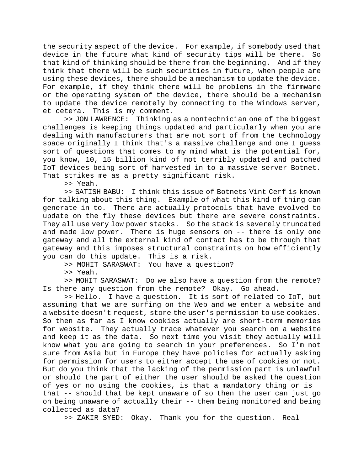the security aspect of the device. For example, if somebody used that<br>device in the future what kind of security tips will be there. So device in the future what kind of security tips will be there. that kind of thinking should be there from the beginning. And if they think that there will be such securities in future, when people are using these devices, there should be a mechanism to update the device. For example, if they think there will be problems in the firmware or the operating system of the device, there should be a mechanism to update the device remotely by connecting to the Windows server, et cetera. This is my comment.

>> JON LAWRENCE: Thinking as a nontechnician one of the biggest challenges is keeping things updated and particularly when you are dealing with manufacturers that are not sort of from the technology space originally I think that's a massive challenge and one I guess sort of questions that comes to my mind what is the potential for, you know, 10, 15 billion kind of not terribly updated and patched IoT devices being sort of harvested in to a massive server Botnet. That strikes me as a pretty significant risk.

>> Yeah.

>> SATISH BABU: I think this issue of Botnets Vint Cerf is known for talking about this thing. Example of what this kind of thing can generate in to. There are actually protocols that have evolved to update on the fly these devices but there are severe constraints. They all use very low power stacks. So the stack is severely truncated and made low power. There is huge sensors on -- there is only one gateway and all the external kind of contact has to be through that gateway and this imposes structural constraints on how efficiently you can do this update. This is a risk.

>> MOHIT SARASWAT: You have a question?

>> Yeah.

>> MOHIT SARASWAT: Do we also have a question from the remote? Is there any question from the remote? Okay. Go ahead.

>> Hello. I have a question. It is sort of related to IoT, but assuming that we are surfing on the Web and we enter a website and a website doesn't request, store the user's permission to use cookies. So then as far as I know cookies actually are short-term memories for website. They actually trace whatever you search on a website and keep it as the data. So next time you visit they actually will know what you are going to search in your preferences. So I'm not sure from Asia but in Europe they have policies for actually asking for permission for users to either accept the use of cookies or not. But do you think that the lacking of the permission part is unlawful or should the part of either the user should be asked the question of yes or no using the cookies, is that a mandatory thing or is that -- should that be kept unaware of so then the user can just go on being unaware of actually their -- them being monitored and being collected as data?

>> ZAKIR SYED: Okay. Thank you for the question. Real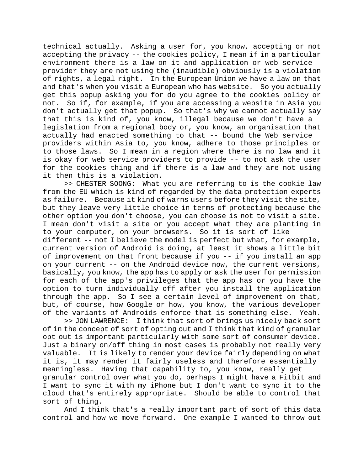technical actually. Asking a user for, you know, accepting or not accepting the privacy -- the cookies policy, I mean if in a particular environment there is a law on it and application or web service provider they are not using the (inaudible) obviously is a violation of rights, a legal right. In the European Union we have a law on that and that's when you visit a European who has website. So you actually get this popup asking you for do you agree to the cookies policy or not. So if, for example, if you are accessing a website in Asia you don't actually get that popup. So that's why we cannot actually say that this is kind of, you know, illegal because we don't have a legislation from a regional body or, you know, an organisation that actually had enacted something to that -- bound the Web service providers within Asia to, you know, adhere to those principles or to those laws. So I mean in a region where there is no law and it is okay for web service providers to provide -- to not ask the user for the cookies thing and if there is a law and they are not using it then this is a violation.

>> CHESTER SOONG: What you are referring to is the cookie law from the EU which is kind of regarded by the data protection experts as failure. Because it kind of warns users before they visit the site, but they leave very little choice in terms of protecting because the other option you don't choose, you can choose is not to visit a site. I mean don't visit a site or you accept what they are planting in to your computer, on your browsers. So it is sort of like different -- not I believe the model is perfect but what, for example, current version of Android is doing, at least it shows a little bit of improvement on that front because if you -- if you install an app on your current -- on the Android device now, the current versions, basically, you know, the app has to apply or ask the user for permission for each of the app's privileges that the app has or you have the option to turn individually off after you install the application through the app. So I see a certain level of improvement on that, but, of course, how Google or how, you know, the various developer of the variants of Androids enforce that is something else. Yeah.

>> JON LAWRENCE: I think that sort of brings us nicely back sort of in the concept of sort of opting out and I think that kind of granular opt out is important particularly with some sort of consumer device. Just a binary on/off thing in most cases is probably not really very valuable. It is likely to render your device fairly depending on what it is, it may render it fairly useless and therefore essentially meaningless. Having that capability to, you know, really get granular control over what you do, perhaps I might have a Fitbit and I want to sync it with my iPhone but I don't want to sync it to the cloud that's entirely appropriate. Should be able to control that sort of thing.

And I think that's a really important part of sort of this data control and how we move forward. One example I wanted to throw out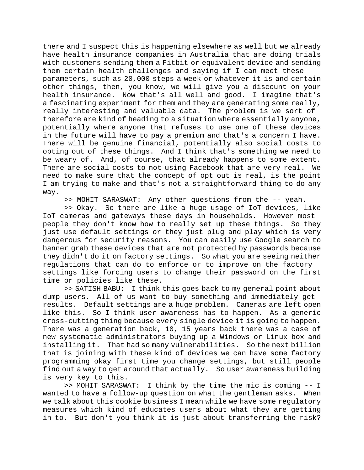there and I suspect this is happening elsewhere as well but we already have health insurance companies in Australia that are doing trials with customers sending them a Fitbit or equivalent device and sending them certain health challenges and saying if I can meet these parameters, such as 20,000 steps a week or whatever it is and certain other things, then, you know, we will give you a discount on your health insurance. Now that's all well and good. I imagine that's a fascinating experiment for them and they are generating some really, really interesting and valuable data. The problem is we sort of therefore are kind of heading to a situation where essentially anyone, potentially where anyone that refuses to use one of these devices in the future will have to pay a premium and that's a concern I have. There will be genuine financial, potentially also social costs to opting out of these things. And I think that's something we need to be weary of. And, of course, that already happens to some extent. There are social costs to not using Facebook that are very real. We need to make sure that the concept of opt out is real, is the point I am trying to make and that's not a straightforward thing to do any way.

>> MOHIT SARASWAT: Any other questions from the -- yeah.

>> Okay. So there are like a huge usage of IoT devices, like IoT cameras and gateways these days in households. However most people they don't know how to really set up these things. So they just use default settings or they just plug and play which is very dangerous for security reasons. You can easily use Google search to banner grab these devices that are not protected by passwords because they didn't do it on factory settings. So what you are seeing neither regulations that can do to enforce or to improve on the factory settings like forcing users to change their password on the first time or policies like these.

>> SATISH BABU: I think this goes back to my general point about dump users. All of us want to buy something and immediately get results. Default settings are a huge problem. Cameras are left open like this. So I think user awareness has to happen. As a generic cross-cutting thing because every single device it is going to happen. There was a generation back, 10, 15 years back there was a case of new systematic administrators buying up a Windows or Linux box and installing it. That had so many vulnerabilities. So the next billion that is joining with these kind of devices we can have some factory programming okay first time you change settings, but still people find out a way to get around that actually. So user awareness building is very key to this.

>> MOHIT SARASWAT: I think by the time the mic is coming -- I wanted to have a follow-up question on what the gentleman asks. When we talk about this cookie business I mean while we have some regulatory measures which kind of educates users about what they are getting in to. But don't you think it is just about transferring the risk?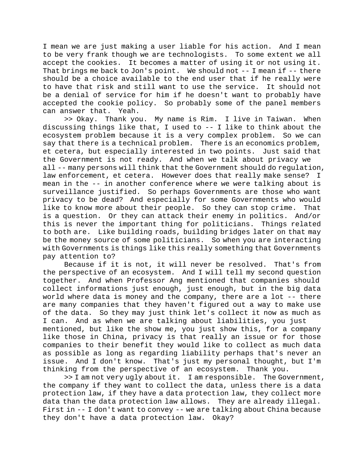I mean we are just making a user liable for his action. And I mean to be very frank though we are technologists. To some extent we all accept the cookies. It becomes a matter of using it or not using it. That brings me back to Jon's point. We should not  $-$ -I mean if  $-$ -there should be a choice available to the end user that if he really were to have that risk and still want to use the service. It should not be a denial of service for him if he doesn't want to probably have accepted the cookie policy. So probably some of the panel members can answer that. Yeah.

>> Okay. Thank you. My name is Rim. I live in Taiwan. When discussing things like that, I used to -- I like to think about the ecosystem problem because it is a very complex problem. So we can say that there is a technical problem. There is an economics problem, et cetera, but especially interested in two points. Just said that the Government is not ready. And when we talk about privacy we all -- many persons will think that the Government should do regulation, law enforcement, et cetera. However does that really make sense? I mean in the -- in another conference where we were talking about is surveillance justified. So perhaps Governments are those who want privacy to be dead? And especially for some Governments who would like to know more about their people. So they can stop crime. That is a question. Or they can attack their enemy in politics. And/or this is never the important thing for politicians. Things related to both are. Like building roads, building bridges later on that may be the money source of some politicians. So when you are interacting with Governments is things like this really something that Governments pay attention to?

Because if it is not, it will never be resolved. That's from the perspective of an ecosystem. And I will tell my second question together. And when Professor Ang mentioned that companies should collect informations just enough, just enough, but in the big data world where data is money and the company, there are a lot -- there are many companies that they haven't figured out a way to make use of the data. So they may just think let's collect it now as much as I can. And as when we are talking about liabilities, you just mentioned, but like the show me, you just show this, for a company like those in China, privacy is that really an issue or for those companies to their benefit they would like to collect as much data as possible as long as regarding liability perhaps that's never an issue. And I don't know. That's just my personal thought, but I'm

>> I am not very ugly about it. I am responsible. The Government, the company if they want to collect the data, unless there is a data protection law, if they have a data protection law, they collect more data than the data protection law allows. They are already illegal. First in -- I don't want to convey -- we are talking about China because they don't have a data protection law. Okay?

thinking from the perspective of an ecosystem. Thank you.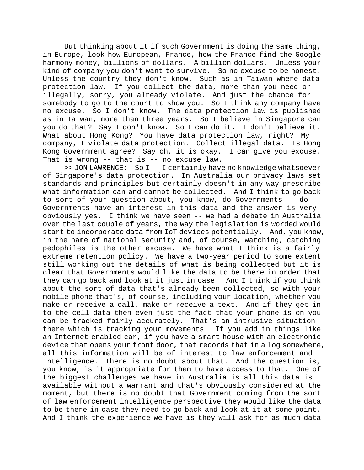But thinking about it if such Government is doing the same thing, in Europe, look how European, France, how the France find the Google harmony money, billions of dollars. A billion dollars. Unless your kind of company you don't want to survive. So no excuse to be honest. Unless the country they don't know. Such as in Taiwan where data protection law. If you collect the data, more than you need or illegally, sorry, you already violate. And just the chance for somebody to go to the court to show you. So I think any company have no excuse. So I don't know. The data protection law is published as in Taiwan, more than three years. So I believe in Singapore can you do that? Say I don't know. So I can do it. I don't believe it. What about Hong Kong? You have data protection law, right? My company, I violate data protection. Collect illegal data. Is Hong Kong Government agree? Say oh, it is okay. I can give you excuse. That is wrong -- that is -- no excuse law.

>> JON LAWRENCE: So I -- I certainly have no knowledge whatsoever of Singapore's data protection. In Australia our privacy laws set standards and principles but certainly doesn't in any way prescribe what information can and cannot be collected. And I think to go back to sort of your question about, you know, do Governments -- do Governments have an interest in this data and the answer is very obviously yes. I think we have seen -- we had a debate in Australia over the last couple of years, the way the legislation is worded would start to incorporate data from IoT devices potentially. And, you know, in the name of national security and, of course, watching, catching pedophiles is the other excuse. We have what I think is a fairly extreme retention policy. We have a two-year period to some extent still working out the details of what is being collected but it is clear that Governments would like the data to be there in order that they can go back and look at it just in case. And I think if you think about the sort of data that's already been collected, so with your mobile phone that's, of course, including your location, whether you make or receive a call, make or receive a text. And if they get in to the cell data then even just the fact that your phone is on you can be tracked fairly accurately. That's an intrusive situation there which is tracking your movements. If you add in things like an Internet enabled car, if you have a smart house with an electronic device that opens your front door, that records that in a log somewhere, all this information will be of interest to law enforcement and intelligence. There is no doubt about that. And the question is, you know, is it appropriate for them to have access to that. One of the biggest challenges we have in Australia is all this data is available without a warrant and that's obviously considered at the moment, but there is no doubt that Government coming from the sort of law enforcement intelligence perspective they would like the data to be there in case they need to go back and look at it at some point. And I think the experience we have is they will ask for as much data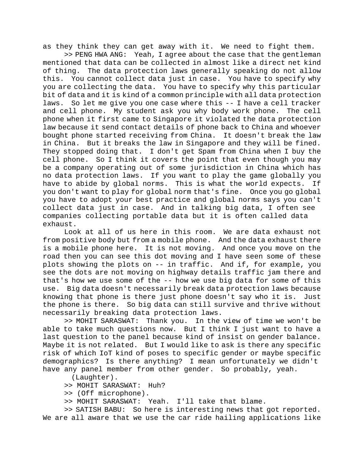as they think they can get away with it. We need to fight them.

>> PENG HWA ANG: Yeah, I agree about the case that the gentleman mentioned that data can be collected in almost like a direct net kind of thing. The data protection laws generally speaking do not allow this. You cannot collect data just in case. You have to specify why you are collecting the data. You have to specify why this particular bit of data and it is kind of a common principle with all data protection laws. So let me give you one case where this -- I have a cell tracker and cell phone. My student ask you why body work phone. The cell phone when it first came to Singapore it violated the data protection law because it send contact details of phone back to China and whoever bought phone started receiving from China. It doesn't break the law in China. But it breaks the law in Singapore and they will be fined. They stopped doing that. I don't get Spam from China when I buy the cell phone. So I think it covers the point that even though you may be a company operating out of some jurisdiction in China which has no data protection laws. If you want to play the game globally you have to abide by global norms. This is what the world expects. If you don't want to play for global norm that's fine. Once you go global you have to adopt your best practice and global norms says you can't collect data just in case. And in talking big data, I often see companies collecting portable data but it is often called data exhaust.

Look at all of us here in this room. We are data exhaust not from positive body but from a mobile phone. And the data exhaust there is a mobile phone here. It is not moving. And once you move on the road then you can see this dot moving and I have seen some of these plots showing the plots on -- in traffic. And if, for example, you see the dots are not moving on highway details traffic jam there and that's how we use some of the -- how we use big data for some of this use. Big data doesn't necessarily break data protection laws because knowing that phone is there just phone doesn't say who it is. Just the phone is there. So big data can still survive and thrive without necessarily breaking data protection laws.

>> MOHIT SARASWAT: Thank you. In the view of time we won't be able to take much questions now. But I think I just want to have a last question to the panel because kind of insist on gender balance. Maybe it is not related. But I would like to ask is there any specific risk of which IoT kind of poses to specific gender or maybe specific demographics? Is there anything? I mean unfortunately we didn't have any panel member from other gender. So probably, yeah.

(Laughter).

- >> MOHIT SARASWAT: Huh?
- >> (Off microphone).
- >> MOHIT SARASWAT: Yeah. I'll take that blame.

>> SATISH BABU: So here is interesting news that got reported. We are all aware that we use the car ride hailing applications like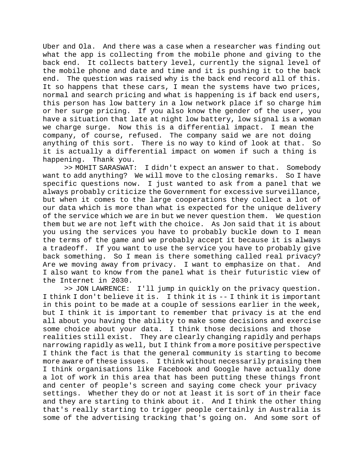Uber and Ola. And there was a case when a researcher was finding out what the app is collecting from the mobile phone and giving to the back end. It collects battery level, currently the signal level of the mobile phone and date and time and it is pushing it to the back end. The question was raised why is the back end record all of this. It so happens that these cars, I mean the systems have two prices, normal and search pricing and what is happening is if back end users, this person has low battery in a low network place if so charge him or her surge pricing. If you also know the gender of the user, you have a situation that late at night low battery, low signal is a woman<br>we charge surge. Now this is a differential impact. I mean the we charge surge. Now this is a differential impact. company, of course, refused. The company said we are not doing anything of this sort. There is no way to kind of look at that. So it is actually a differential impact on women if such a thing is happening. Thank you.

>> MOHIT SARASWAT: I didn't expect an answer to that. Somebody want to add anything? We will move to the closing remarks. So I have specific questions now. I just wanted to ask from a panel that we always probably criticize the Government for excessive surveillance, but when it comes to the large cooperations they collect a lot of our data which is more than what is expected for the unique delivery of the service which we are in but we never question them. We question them but we are not left with the choice. As Jon said that it is about you using the services you have to probably buckle down to I mean the terms of the game and we probably accept it because it is always a tradeoff. If you want to use the service you have to probably give back something. So I mean is there something called real privacy? Are we moving away from privacy. I want to emphasize on that. And I also want to know from the panel what is their futuristic view of the Internet in 2030.

>> JON LAWRENCE: I'll jump in quickly on the privacy question. I think I don't believe it is. I think it is -- I think it is important in this point to be made at a couple of sessions earlier in the week, but I think it is important to remember that privacy is at the end all about you having the ability to make some decisions and exercise some choice about your data. I think those decisions and those realities still exist. They are clearly changing rapidly and perhaps narrowing rapidly as well, but I think from a more positive perspective I think the fact is that the general community is starting to become more aware of these issues. I think without necessarily praising them I think organisations like Facebook and Google have actually done a lot of work in this area that has been putting these things front and center of people's screen and saying come check your privacy settings. Whether they do or not at least it is sort of in their face and they are starting to think about it. And I think the other thing that's really starting to trigger people certainly in Australia is some of the advertising tracking that's going on. And some sort of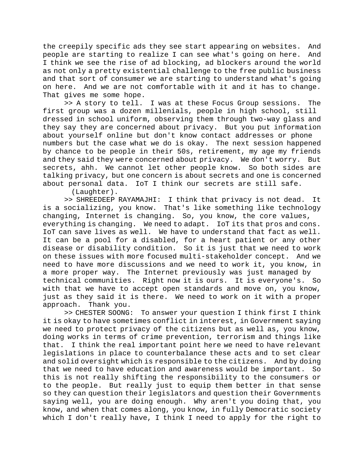the creepily specific ads they see start appearing on websites. And people are starting to realize I can see what's going on here. And I think we see the rise of ad blocking, ad blockers around the world as not only a pretty existential challenge to the free public business and that sort of consumer we are starting to understand what's going on here. And we are not comfortable with it and it has to change. That gives me some hope.

>> A story to tell. I was at these Focus Group sessions. The first group was a dozen millenials, people in high school, still dressed in school uniform, observing them through two-way glass and they say they are concerned about privacy. But you put information about yourself online but don't know contact addresses or phone numbers but the case what we do is okay. The next session happened by chance to be people in their 50s, retirement, my age my friends and they said they were concerned about privacy. We don't worry. But secrets, ahh. We cannot let other people know. So both sides are talking privacy, but one concern is about secrets and one is concerned about personal data. IoT I think our secrets are still safe.

(Laughter).

>> SHREEDEEP RAYAMAJHI: I think that privacy is not dead. It is a socializing, you know. That's like something like technology changing, Internet is changing. So, you know, the core values, everything is changing. We need to adapt. IoT its that pros and cons. IoT can save lives as well. We have to understand that fact as well. It can be a pool for a disabled, for a heart patient or any other disease or disability condition. So it is just that we need to work on these issues with more focused multi-stakeholder concept. And we need to have more discussions and we need to work it, you know, in a more proper way. The Internet previously was just managed by technical communities. Right now it is ours. It is everyone's. So with that we have to accept open standards and move on, you know, just as they said it is there. We need to work on it with a proper approach. Thank you.

>> CHESTER SOONG: To answer your question I think first I think it is okay to have sometimes conflict in interest, in Government saying we need to protect privacy of the citizens but as well as, you know, doing works in terms of crime prevention, terrorism and things like that. I think the real important point here we need to have relevant legislations in place to counterbalance these acts and to set clear and solid oversight which is responsible to the citizens. And by doing that we need to have education and awareness would be important. So this is not really shifting the responsibility to the consumers or to the people. But really just to equip them better in that sense so they can question their legislators and question their Governments saying well, you are doing enough. Why aren't you doing that, you know, and when that comes along, you know, in fully Democratic society which I don't really have, I think I need to apply for the right to